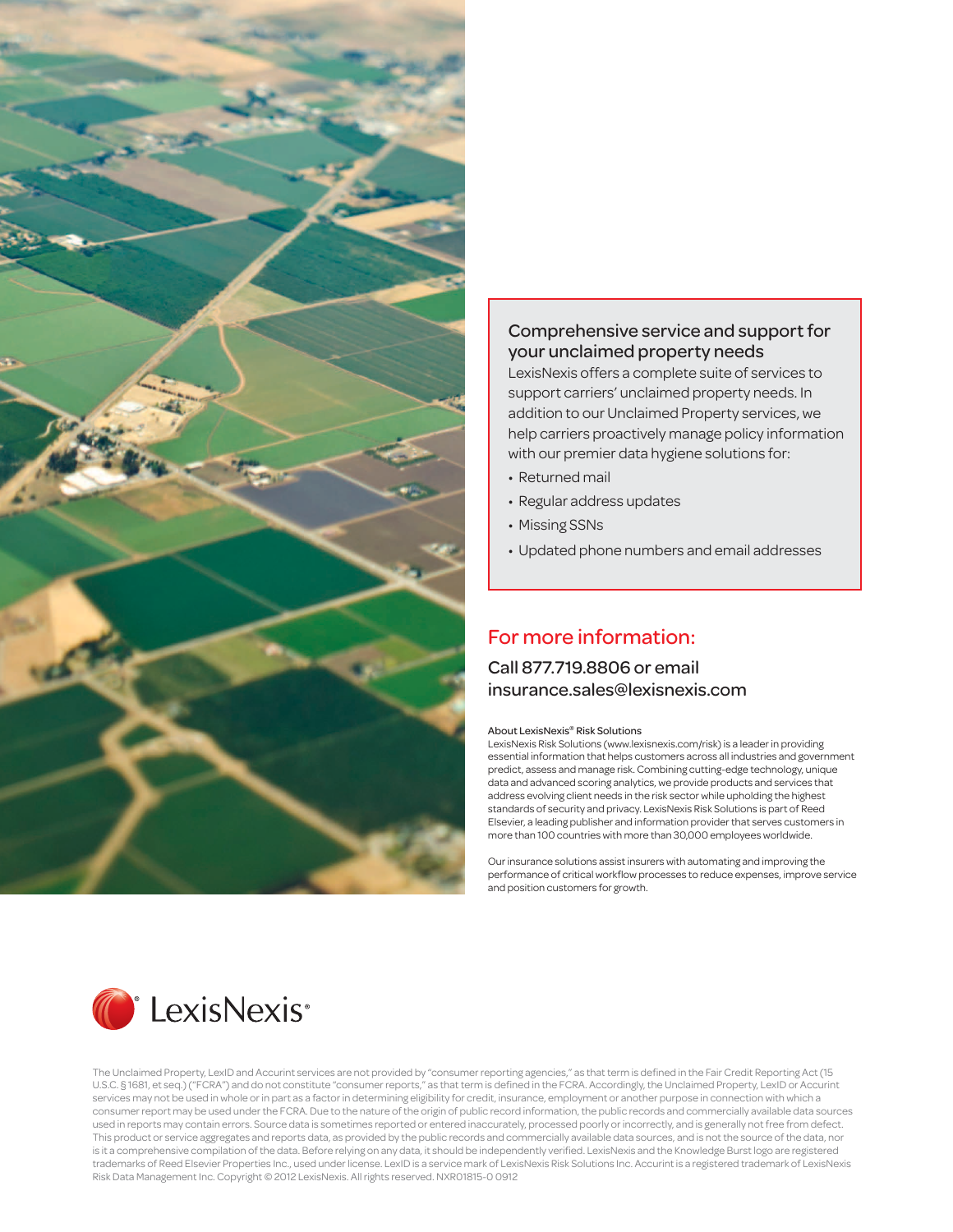

#### Comprehensive service and support for your unclaimed property needs

LexisNexis offers a complete suite of services to support carriers' unclaimed property needs. In addition to our Unclaimed Property services, we help carriers proactively manage policy information with our premier data hygiene solutions for:

- Returned mail
- Regular address updates
- Missing SSNs
- Updated phone numbers and email addresses

# For more information:

#### Call 877.719.8806 or email insurance.sales@lexisnexis.com

#### About LexisNexis® Risk Solutions

LexisNexis Risk Solutions (www.lexisnexis.com/risk) is a leader in providing essential information that helps customers across all industries and government predict, assess and manage risk. Combining cutting-edge technology, unique data and advanced scoring analytics, we provide products and services that address evolving client needs in the risk sector while upholding the highest standards of security and privacy. LexisNexis Risk Solutions is part of Reed Elsevier, a leading publisher and information provider that serves customers in more than 100 countries with more than 30,000 employees worldwide.

Our insurance solutions assist insurers with automating and improving the performance of critical workflow processes to reduce expenses, improve service .<br>and position customers for growth.



The Unclaimed Property, LexID and Accurint services are not provided by "consumer reporting agencies," as that term is defined in the Fair Credit Reporting Act (15 U.S.C. § 1681, et seq.) ("FCRA") and do not constitute "consumer reports," as that term is defined in the FCRA. Accordingly, the Unclaimed Property, LexID or Accurint services may not be used in whole or in part as a factor in determining eligibility for credit, insurance, employment or another purpose in connection with which a consumer report may be used under the FCRA. Due to the nature of the origin of public record information, the public records and commercially available data sources used in reports may contain errors. Source data is sometimes reported or entered inaccurately, processed poorly or incorrectly, and is generally not free from defect. This product or service aggregates and reports data, as provided by the public records and commercially available data sources, and is not the source of the data, nor is it a comprehensive compilation of the data. Before relying on any data, it should be independently verified. LexisNexis and the Knowledge Burst logo are registered trademarks of Reed Elsevier Properties Inc., used under license. LexID is a service mark of LexisNexis Risk Solutions Inc. Accurint is a registered trademark of LexisNexis Risk Data Management Inc. Copyright © 2012 LexisNexis. All rights reserved. NXR01815-0 0912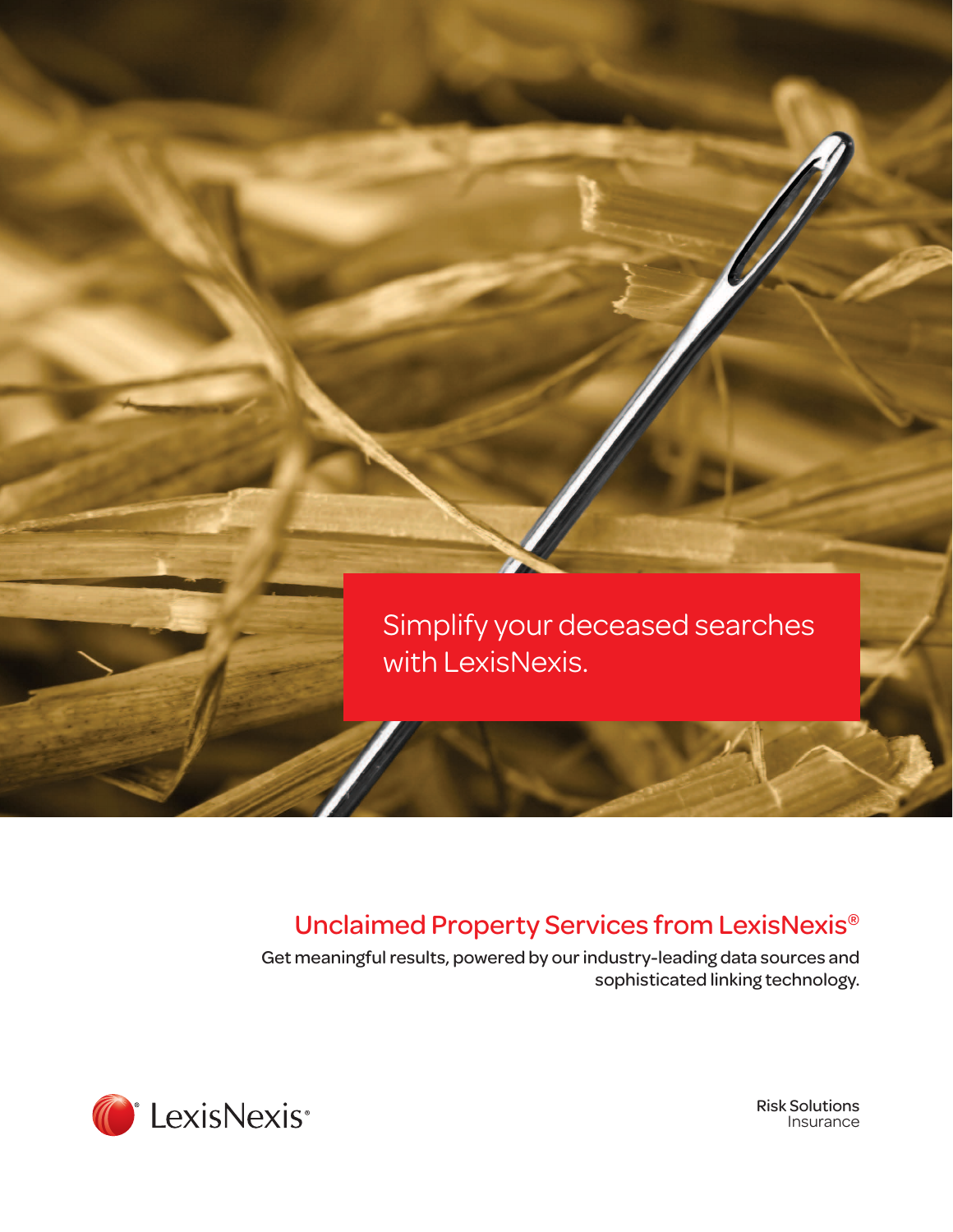

# Unclaimed Property Services from LexisNexis®

Get meaningful results, powered by our industry-leading data sources and sophisticated linking technology.



Risk Solutions Insurance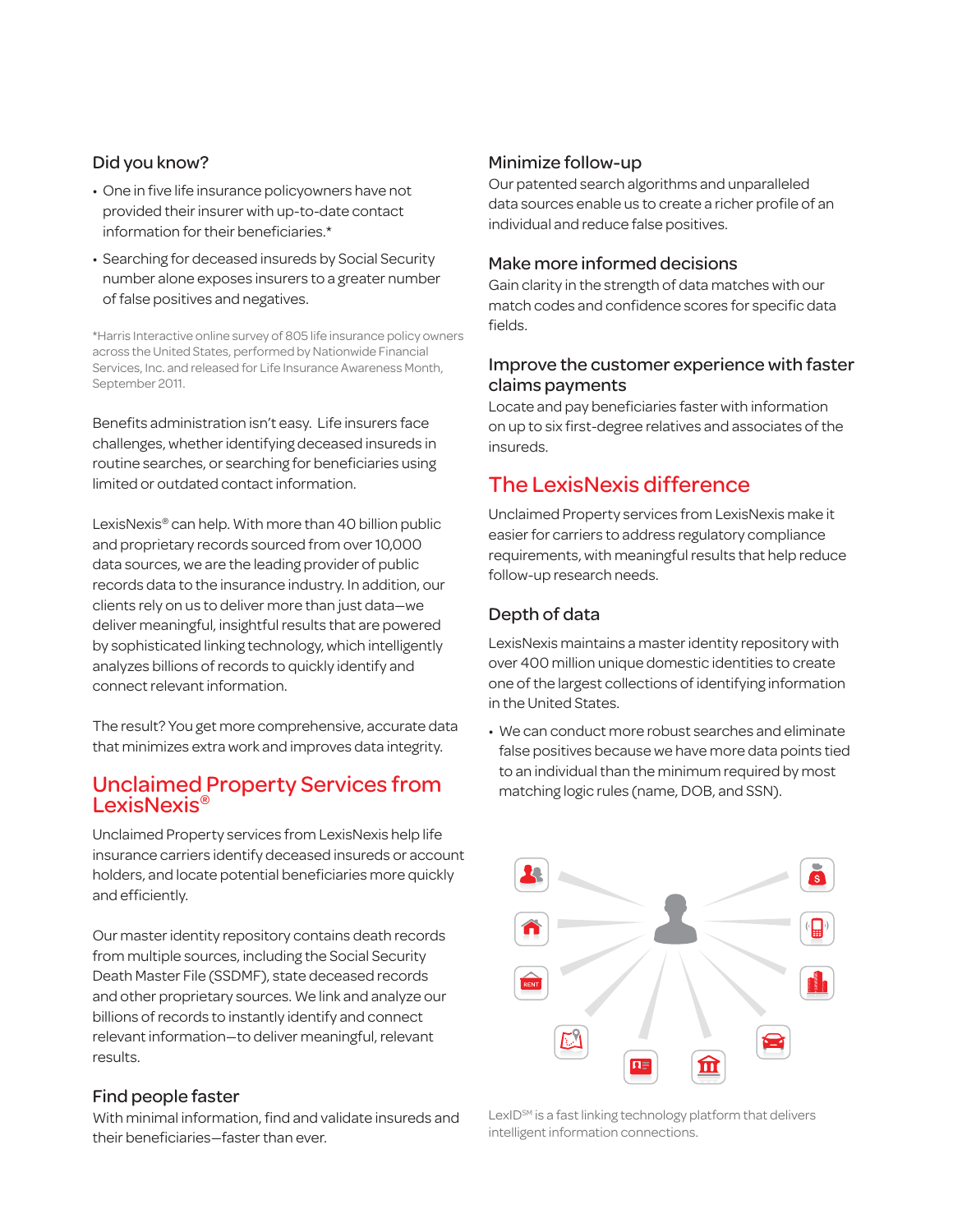#### Did you know?

- One in five life insurance policyowners have not provided their insurer with up-to-date contact information for their beneficiaries.\*
- Searching for deceased insureds by Social Security number alone exposes insurers to a greater number of false positives and negatives.

\*Harris Interactive online survey of 805 life insurance policy owners across the United States, performed by Nationwide Financial Services, Inc. and released for Life Insurance Awareness Month, September 2011.

Benefits administration isn't easy. Life insurers face challenges, whether identifying deceased insureds in routine searches, or searching for beneficiaries using limited or outdated contact information.

LexisNexis® can help. With more than 40 billion public and proprietary records sourced from over 10,000 data sources, we are the leading provider of public records data to the insurance industry. In addition, our clients rely on us to deliver more than just data—we deliver meaningful, insightful results that are powered by sophisticated linking technology, which intelligently analyzes billions of records to quickly identify and connect relevant information.

The result? You get more comprehensive, accurate data that minimizes extra work and improves data integrity.

## Unclaimed Property Services from LexisNexis®

Unclaimed Property services from LexisNexis help life insurance carriers identify deceased insureds or account holders, and locate potential beneficiaries more quickly and efficiently.

Our master identity repository contains death records from multiple sources, including the Social Security Death Master File (SSDMF), state deceased records and other proprietary sources. We link and analyze our billions of records to instantly identify and connect relevant information—to deliver meaningful, relevant results.

#### Find people faster

With minimal information, find and validate insureds and their beneficiaries—faster than ever.

#### Minimize follow-up

Our patented search algorithms and unparalleled data sources enable us to create a richer profile of an individual and reduce false positives.

#### Make more informed decisions

Gain clarity in the strength of data matches with our match codes and confidence scores for specific data fields.

#### Improve the customer experience with faster claims payments

Locate and pay beneficiaries faster with information on up to six first-degree relatives and associates of the insureds.

# The LexisNexis difference

Unclaimed Property services from LexisNexis make it easier for carriers to address regulatory compliance requirements, with meaningful results that help reduce follow-up research needs.

### Depth of data

LexisNexis maintains a master identity repository with over 400 million unique domestic identities to create one of the largest collections of identifying information in the United States.

• We can conduct more robust searches and eliminate false positives because we have more data points tied to an individual than the minimum required by most matching logic rules (name, DOB, and SSN).



 $LexID<sup>sm</sup>$  is a fast linking technology platform that delivers intelligent information connections.